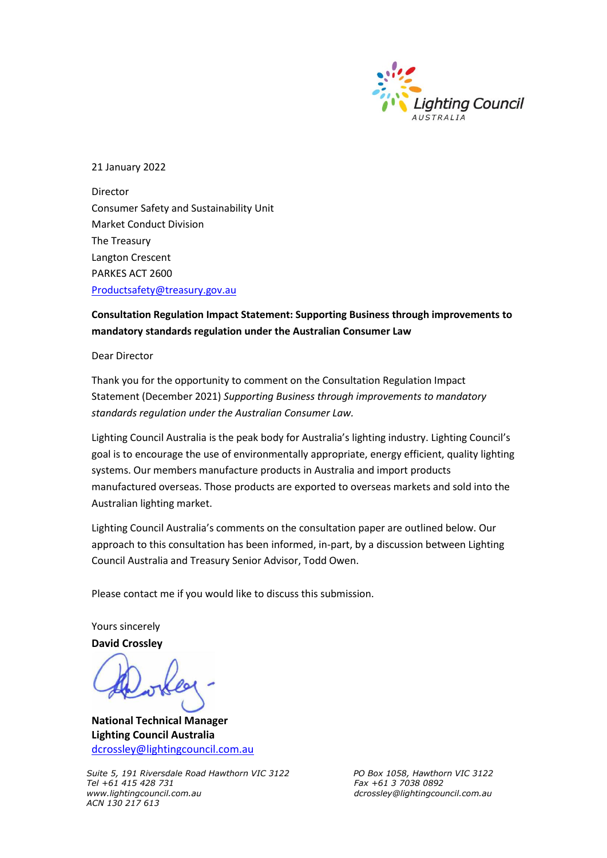

21 January 2022

Director Consumer Safety and Sustainability Unit Market Conduct Division The Treasury Langton Crescent PARKES ACT 2600 [Productsafety@treasury.gov.au](mailto:Productsafety@treasury.gov.au)

#### **Consultation Regulation Impact Statement: Supporting Business through improvements to mandatory standards regulation under the Australian Consumer Law**

Dear Director

Thank you for the opportunity to comment on the Consultation Regulation Impact Statement (December 2021) *Supporting Business through improvements to mandatory standards regulation under the Australian Consumer Law.*

Lighting Council Australia is the peak body for Australia's lighting industry. Lighting Council's goal is to encourage the use of environmentally appropriate, energy efficient, quality lighting systems. Our members manufacture products in Australia and import products manufactured overseas. Those products are exported to overseas markets and sold into the Australian lighting market.

Lighting Council Australia's comments on the consultation paper are outlined below. Our approach to this consultation has been informed, in-part, by a discussion between Lighting Council Australia and Treasury Senior Advisor, Todd Owen.

Please contact me if you would like to discuss this submission.

Yours sincerely **David Crossley**

**National Technical Manager Lighting Council Australia**  [dcrossley@lightingcouncil.com.au](mailto:dcrossley@lightingcouncil.com.au)

*Suite 5, 191 Riversdale Road Hawthorn VIC 3122 PO Box 1058, Hawthorn VIC 3122 Tel +61 415 428 731 Fax +61 3 7038 0892 ACN 130 217 613*

*www.lightingcouncil.com.au dcrossley@lightingcouncil.com.au*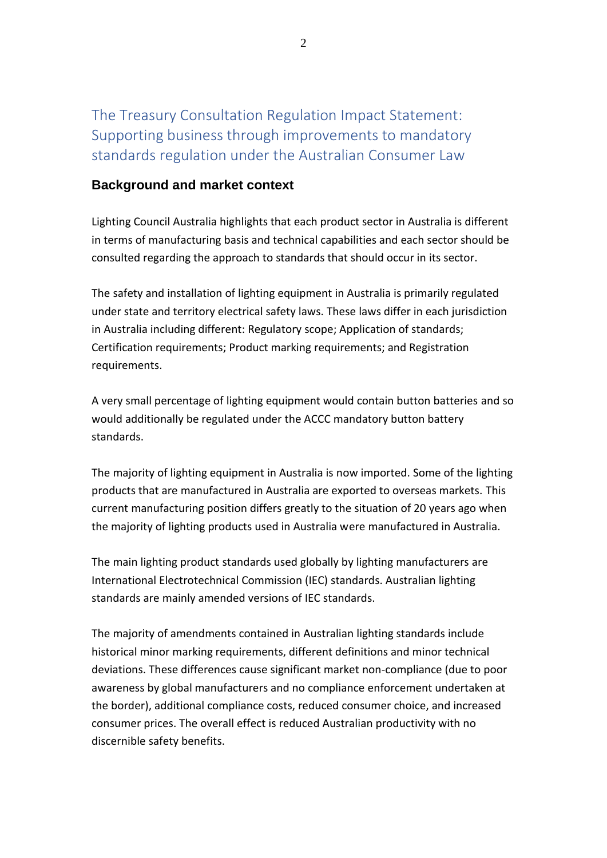The Treasury Consultation Regulation Impact Statement: Supporting business through improvements to mandatory standards regulation under the Australian Consumer Law

### **Background and market context**

Lighting Council Australia highlights that each product sector in Australia is different in terms of manufacturing basis and technical capabilities and each sector should be consulted regarding the approach to standards that should occur in its sector.

The safety and installation of lighting equipment in Australia is primarily regulated under state and territory electrical safety laws. These laws differ in each jurisdiction in Australia including different: Regulatory scope; Application of standards; Certification requirements; Product marking requirements; and Registration requirements.

A very small percentage of lighting equipment would contain button batteries and so would additionally be regulated under the ACCC mandatory button battery standards.

The majority of lighting equipment in Australia is now imported. Some of the lighting products that are manufactured in Australia are exported to overseas markets. This current manufacturing position differs greatly to the situation of 20 years ago when the majority of lighting products used in Australia were manufactured in Australia.

The main lighting product standards used globally by lighting manufacturers are International Electrotechnical Commission (IEC) standards. Australian lighting standards are mainly amended versions of IEC standards.

The majority of amendments contained in Australian lighting standards include historical minor marking requirements, different definitions and minor technical deviations. These differences cause significant market non-compliance (due to poor awareness by global manufacturers and no compliance enforcement undertaken at the border), additional compliance costs, reduced consumer choice, and increased consumer prices. The overall effect is reduced Australian productivity with no discernible safety benefits.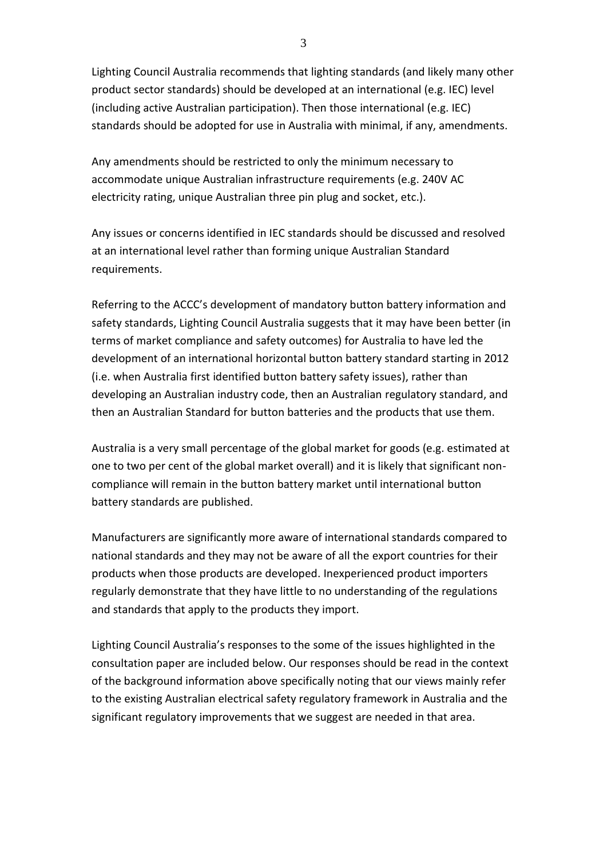Lighting Council Australia recommends that lighting standards (and likely many other product sector standards) should be developed at an international (e.g. IEC) level (including active Australian participation). Then those international (e.g. IEC) standards should be adopted for use in Australia with minimal, if any, amendments.

Any amendments should be restricted to only the minimum necessary to accommodate unique Australian infrastructure requirements (e.g. 240V AC electricity rating, unique Australian three pin plug and socket, etc.).

Any issues or concerns identified in IEC standards should be discussed and resolved at an international level rather than forming unique Australian Standard requirements.

Referring to the ACCC's development of mandatory button battery information and safety standards, Lighting Council Australia suggests that it may have been better (in terms of market compliance and safety outcomes) for Australia to have led the development of an international horizontal button battery standard starting in 2012 (i.e. when Australia first identified button battery safety issues), rather than developing an Australian industry code, then an Australian regulatory standard, and then an Australian Standard for button batteries and the products that use them.

Australia is a very small percentage of the global market for goods (e.g. estimated at one to two per cent of the global market overall) and it is likely that significant noncompliance will remain in the button battery market until international button battery standards are published.

Manufacturers are significantly more aware of international standards compared to national standards and they may not be aware of all the export countries for their products when those products are developed. Inexperienced product importers regularly demonstrate that they have little to no understanding of the regulations and standards that apply to the products they import.

Lighting Council Australia's responses to the some of the issues highlighted in the consultation paper are included below. Our responses should be read in the context of the background information above specifically noting that our views mainly refer to the existing Australian electrical safety regulatory framework in Australia and the significant regulatory improvements that we suggest are needed in that area.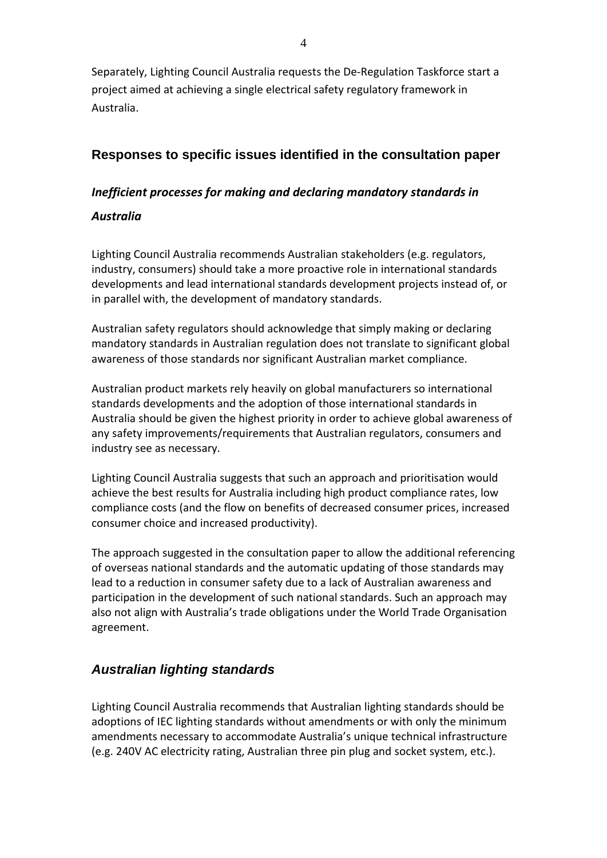Separately, Lighting Council Australia requests the De-Regulation Taskforce start a project aimed at achieving a single electrical safety regulatory framework in Australia.

# **Responses to specific issues identified in the consultation paper**

### *Inefficient processes for making and declaring mandatory standards in*

### *Australia*

Lighting Council Australia recommends Australian stakeholders (e.g. regulators, industry, consumers) should take a more proactive role in international standards developments and lead international standards development projects instead of, or in parallel with, the development of mandatory standards.

Australian safety regulators should acknowledge that simply making or declaring mandatory standards in Australian regulation does not translate to significant global awareness of those standards nor significant Australian market compliance.

Australian product markets rely heavily on global manufacturers so international standards developments and the adoption of those international standards in Australia should be given the highest priority in order to achieve global awareness of any safety improvements/requirements that Australian regulators, consumers and industry see as necessary.

Lighting Council Australia suggests that such an approach and prioritisation would achieve the best results for Australia including high product compliance rates, low compliance costs (and the flow on benefits of decreased consumer prices, increased consumer choice and increased productivity).

The approach suggested in the consultation paper to allow the additional referencing of overseas national standards and the automatic updating of those standards may lead to a reduction in consumer safety due to a lack of Australian awareness and participation in the development of such national standards. Such an approach may also not align with Australia's trade obligations under the World Trade Organisation agreement.

# *Australian lighting standards*

Lighting Council Australia recommends that Australian lighting standards should be adoptions of IEC lighting standards without amendments or with only the minimum amendments necessary to accommodate Australia's unique technical infrastructure (e.g. 240V AC electricity rating, Australian three pin plug and socket system, etc.).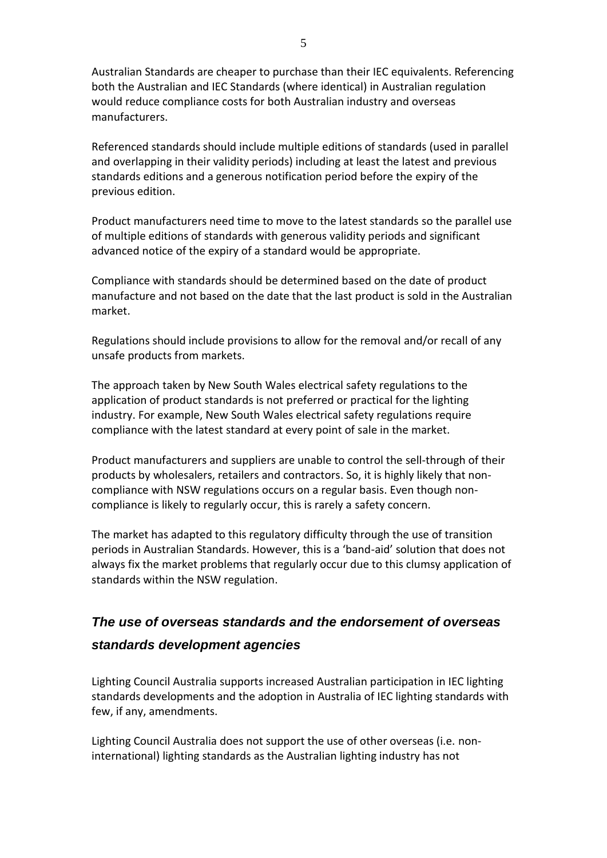Australian Standards are cheaper to purchase than their IEC equivalents. Referencing both the Australian and IEC Standards (where identical) in Australian regulation would reduce compliance costs for both Australian industry and overseas manufacturers.

Referenced standards should include multiple editions of standards (used in parallel and overlapping in their validity periods) including at least the latest and previous standards editions and a generous notification period before the expiry of the previous edition.

Product manufacturers need time to move to the latest standards so the parallel use of multiple editions of standards with generous validity periods and significant advanced notice of the expiry of a standard would be appropriate.

Compliance with standards should be determined based on the date of product manufacture and not based on the date that the last product is sold in the Australian market.

Regulations should include provisions to allow for the removal and/or recall of any unsafe products from markets.

The approach taken by New South Wales electrical safety regulations to the application of product standards is not preferred or practical for the lighting industry. For example, New South Wales electrical safety regulations require compliance with the latest standard at every point of sale in the market.

Product manufacturers and suppliers are unable to control the sell-through of their products by wholesalers, retailers and contractors. So, it is highly likely that noncompliance with NSW regulations occurs on a regular basis. Even though noncompliance is likely to regularly occur, this is rarely a safety concern.

The market has adapted to this regulatory difficulty through the use of transition periods in Australian Standards. However, this is a 'band-aid' solution that does not always fix the market problems that regularly occur due to this clumsy application of standards within the NSW regulation.

# *The use of overseas standards and the endorsement of overseas standards development agencies*

Lighting Council Australia supports increased Australian participation in IEC lighting standards developments and the adoption in Australia of IEC lighting standards with few, if any, amendments.

Lighting Council Australia does not support the use of other overseas (i.e. noninternational) lighting standards as the Australian lighting industry has not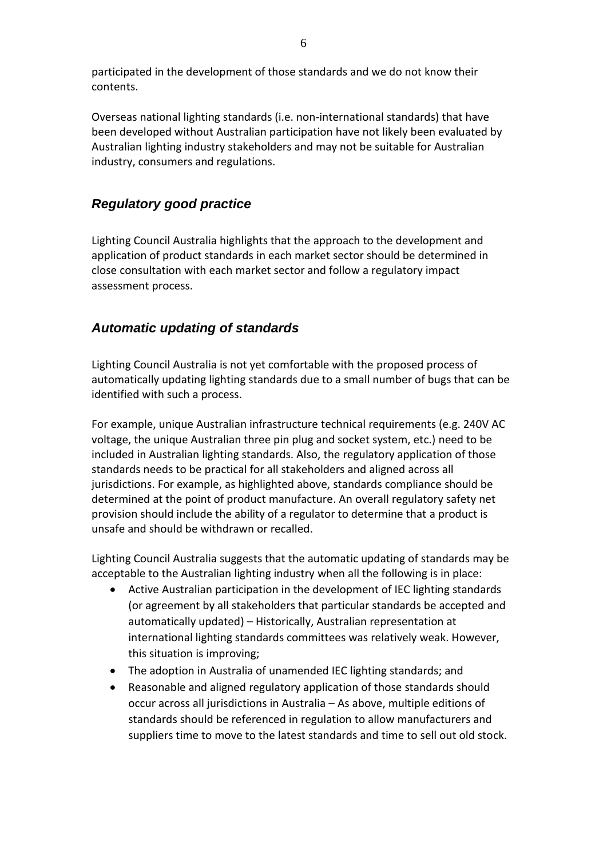participated in the development of those standards and we do not know their contents.

Overseas national lighting standards (i.e. non-international standards) that have been developed without Australian participation have not likely been evaluated by Australian lighting industry stakeholders and may not be suitable for Australian industry, consumers and regulations.

# *Regulatory good practice*

Lighting Council Australia highlights that the approach to the development and application of product standards in each market sector should be determined in close consultation with each market sector and follow a regulatory impact assessment process.

## *Automatic updating of standards*

Lighting Council Australia is not yet comfortable with the proposed process of automatically updating lighting standards due to a small number of bugs that can be identified with such a process.

For example, unique Australian infrastructure technical requirements (e.g. 240V AC voltage, the unique Australian three pin plug and socket system, etc.) need to be included in Australian lighting standards. Also, the regulatory application of those standards needs to be practical for all stakeholders and aligned across all jurisdictions. For example, as highlighted above, standards compliance should be determined at the point of product manufacture. An overall regulatory safety net provision should include the ability of a regulator to determine that a product is unsafe and should be withdrawn or recalled.

Lighting Council Australia suggests that the automatic updating of standards may be acceptable to the Australian lighting industry when all the following is in place:

- Active Australian participation in the development of IEC lighting standards (or agreement by all stakeholders that particular standards be accepted and automatically updated) – Historically, Australian representation at international lighting standards committees was relatively weak. However, this situation is improving;
- The adoption in Australia of unamended IEC lighting standards; and
- Reasonable and aligned regulatory application of those standards should occur across all jurisdictions in Australia – As above, multiple editions of standards should be referenced in regulation to allow manufacturers and suppliers time to move to the latest standards and time to sell out old stock.